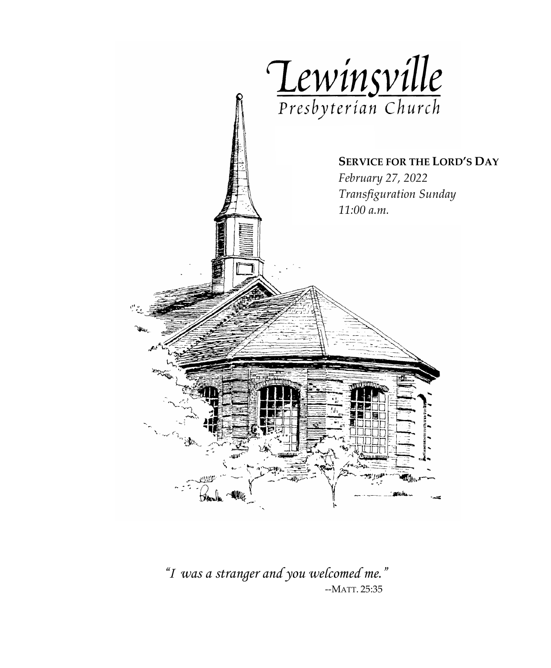

*"I was a stranger and you welcomed me."*--MATT. 25:35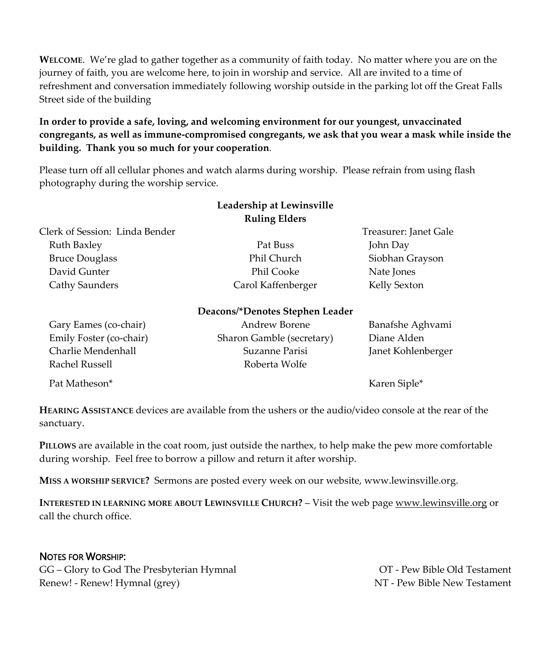**WELCOME**. We're glad to gather together as a community of faith today. No matter where you are on the journey of faith, you are welcome here, to join in worship and service. All are invited to a time of refreshment and conversation immediately following worship outside in the parking lot off the Great Falls Street side of the building

#### **In order to provide a safe, loving, and welcoming environment for our youngest, unvaccinated congregants, as well as immune-compromised congregants, we ask that you wear a mask while inside the building. Thank you so much for your cooperation**.

Please turn off all cellular phones and watch alarms during worship. Please refrain from using flash photography during the worship service.

|                                | Leadership at Lewinsville<br><b>Ruling Elders</b> |                       |
|--------------------------------|---------------------------------------------------|-----------------------|
| Clerk of Session: Linda Bender |                                                   | Treasurer: Janet Gale |
| Ruth Baxley                    | Pat Buss                                          | John Day              |
| <b>Bruce Douglass</b>          | Phil Church                                       | Siobhan Grayson       |
| David Gunter                   | Phil Cooke                                        | Nate Jones            |
| Cathy Saunders                 | Carol Kaffenberger                                | Kelly Sexton          |
|                                | Deacons/*Denotes Stephen Leader                   |                       |

| Deacons/*Denotes Stephen Leader |  |  |
|---------------------------------|--|--|
|---------------------------------|--|--|

| Gary Eames (co-chair)   | Andrew Borene             | Banafshe Aghvami   |
|-------------------------|---------------------------|--------------------|
| Emily Foster (co-chair) | Sharon Gamble (secretary) | Diane Alden        |
| Charlie Mendenhall      | Suzanne Parisi            | Janet Kohlenberger |
| Rachel Russell          | Roberta Wolfe             |                    |
| Pat Matheson*           |                           | Karen Siple*       |

**HEARING ASSISTANCE** devices are available from the ushers or the audio/video console at the rear of the sanctuary.

**PILLOWS** are available in the coat room, just outside the narthex, to help make the pew more comfortable during worship. Feel free to borrow a pillow and return it after worship.

**MISS A WORSHIP SERVICE?** Sermons are posted every week on our website, www.lewinsville.org.

**INTERESTED IN LEARNING MORE ABOUT LEWINSVILLE CHURCH?** – Visit the web page [www.lewinsville.org](http://www.lewinsville.org/) or call the church office.

#### NOTES FOR WORSHIP:

GG – Glory to God The Presbyterian Hymnal CG – OT - Pew Bible Old Testament Renew! - Renew! Hymnal (grey) NT - Pew Bible New Testament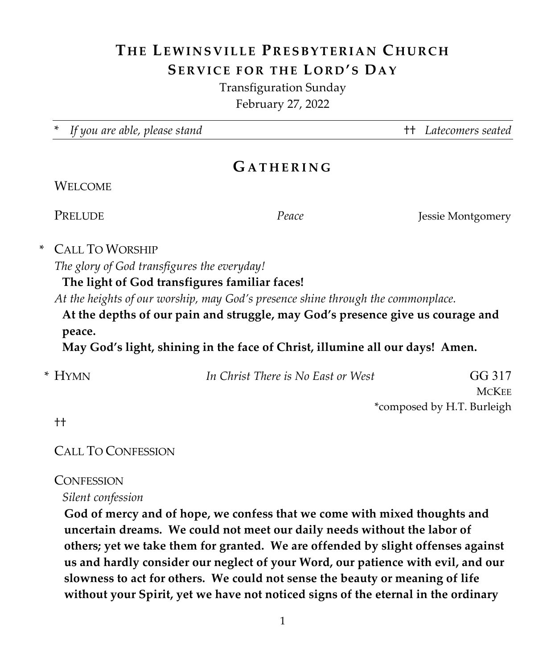# **THE LEWINSVILLE P RESBYTERIAN C HURCH SERVICE FOR THE L O R D 'S DA Y**

Transfiguration Sunday February 27, 2022

\* *If you are able, please stand* †† *Latecomers seated*

## **G ATHERING**

### **WELCOME**

**PRELUDE** *Peace Peace Jessie Montgomery* 

### \* CALL TO WORSHIP

*The glory of God transfigures the everyday!*

### **The light of God transfigures familiar faces!**

*At the heights of our worship, may God's presence shine through the commonplace.*

**At the depths of our pain and struggle, may God's presence give us courage and peace.**

**May God's light, shining in the face of Christ, illumine all our days! Amen.**

| * Hymn | In Christ There is No East or West | GG 317                     |
|--------|------------------------------------|----------------------------|
|        |                                    | <b>MCKEE</b>               |
|        |                                    | *composed by H.T. Burleigh |

††

### CALL TO CONFESSION

### **CONFESSION**

*Silent confession*

**God of mercy and of hope, we confess that we come with mixed thoughts and uncertain dreams. We could not meet our daily needs without the labor of others; yet we take them for granted. We are offended by slight offenses against us and hardly consider our neglect of your Word, our patience with evil, and our slowness to act for others. We could not sense the beauty or meaning of life without your Spirit, yet we have not noticed signs of the eternal in the ordinary**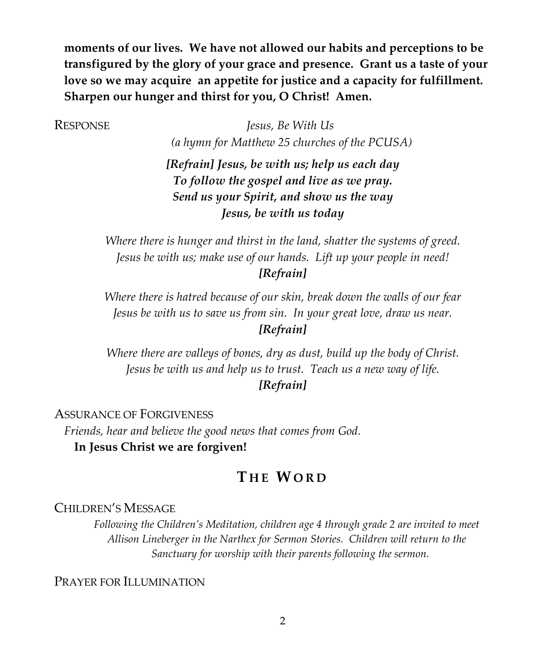**moments of our lives. We have not allowed our habits and perceptions to be transfigured by the glory of your grace and presence. Grant us a taste of your love so we may acquire an appetite for justice and a capacity for fulfillment. Sharpen our hunger and thirst for you, O Christ! Amen.**

RESPONSE *Jesus, Be With Us (a hymn for Matthew 25 churches of the PCUSA)*

> *[Refrain] Jesus, be with us; help us each day To follow the gospel and live as we pray. Send us your Spirit, and show us the way Jesus, be with us today*

*Where there is hunger and thirst in the land, shatter the systems of greed. Jesus be with us; make use of our hands. Lift up your people in need! [Refrain]*

*Where there is hatred because of our skin, break down the walls of our fear Jesus be with us to save us from sin. In your great love, draw us near. [Refrain]*

*Where there are valleys of bones, dry as dust, build up the body of Christ. Jesus be with us and help us to trust. Teach us a new way of life. [Refrain]*

ASSURANCE OF FORGIVENESS

*Friends, hear and believe the good news that comes from God.* **In Jesus Christ we are forgiven!**

## **T H E WORD**

CHILDREN'S MESSAGE

*Following the Children's Meditation, children age 4 through grade 2 are invited to meet Allison Lineberger in the Narthex for Sermon Stories. Children will return to the Sanctuary for worship with their parents following the sermon.*

PRAYER FOR ILLUMINATION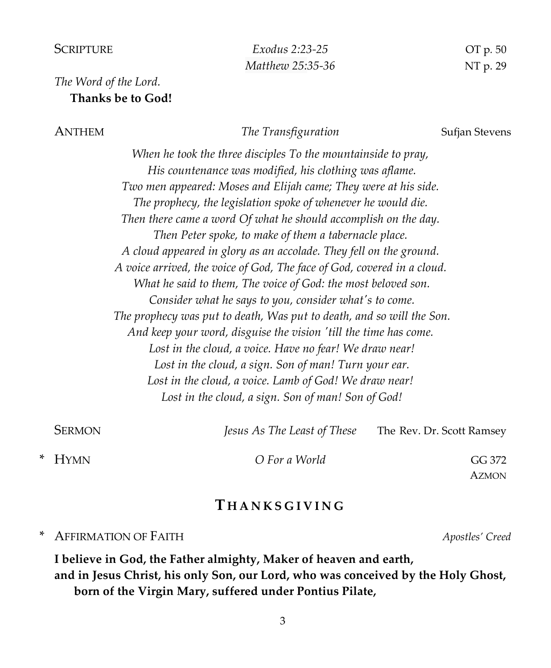#### SCRIPTURE *Exodus 2:23-25* OT p*.* 50

### *The Word of the Lord.* **Thanks be to God!**

ANTHEM The Transfiguration Sufjan Stevens

*When he took the three disciples To the mountainside to pray, His countenance was modified, his clothing was aflame. Two men appeared: Moses and Elijah came; They were at his side. The prophecy, the legislation spoke of whenever he would die. Then there came a word Of what he should accomplish on the day. Then Peter spoke, to make of them a tabernacle place. A cloud appeared in glory as an accolade. They fell on the ground. A voice arrived, the voice of God, The face of God, covered in a cloud. What he said to them, The voice of God: the most beloved son. Consider what he says to you, consider what's to come. The prophecy was put to death, Was put to death, and so will the Son. And keep your word, disguise the vision 'till the time has come. Lost in the cloud, a voice. Have no fear! We draw near!* Lost in the cloud, a sign. Son of man! Turn your ear. *Lost in the cloud, a voice. Lamb of God! We draw near! Lost in the cloud, a sign. Son of man! Son of God!*

| <b>SERMON</b> | Jesus As The Least of These | The Rev. Dr. Scott Ramsey |
|---------------|-----------------------------|---------------------------|
| * HYMN        | O For a World               | GG 372                    |
|               |                             | <b>AZMON</b>              |

### **T HAN K S GIVING**

\* AFFIRMATION OF FAITH *Apostles' Creed*

**I believe in God, the Father almighty, Maker of heaven and earth, and in Jesus Christ, his only Son, our Lord, who was conceived by the Holy Ghost, born of the Virgin Mary, suffered under Pontius Pilate,**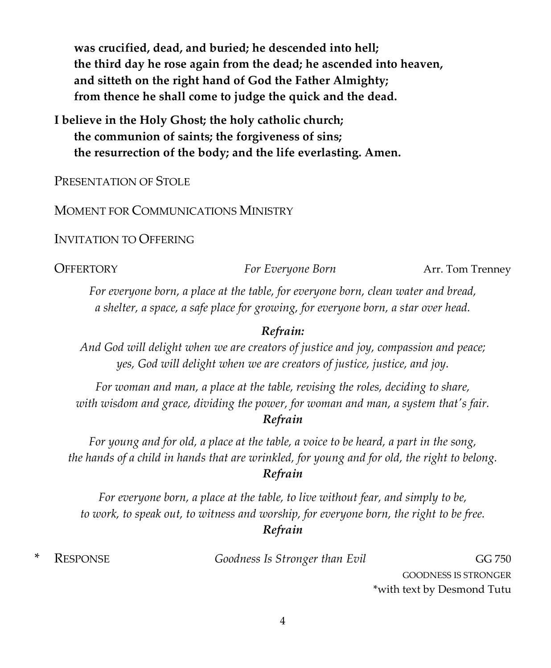**was crucified, dead, and buried; he descended into hell; the third day he rose again from the dead; he ascended into heaven, and sitteth on the right hand of God the Father Almighty; from thence he shall come to judge the quick and the dead.**

**I believe in the Holy Ghost; the holy catholic church; the communion of saints; the forgiveness of sins; the resurrection of the body; and the life everlasting. Amen.**

PRESENTATION OF STOLE

MOMENT FOR COMMUNICATIONS MINISTRY

INVITATION TO OFFERING

OFFERTORY *For Everyone Born* Arr. Tom Trenney

*For everyone born, a place at the table, for everyone born, clean water and bread, a shelter, a space, a safe place for growing, for everyone born, a star over head.*

#### *Refrain:*

*And God will delight when we are creators of justice and joy, compassion and peace; yes, God will delight when we are creators of justice, justice, and joy.*

*For woman and man, a place at the table, revising the roles, deciding to share, with wisdom and grace, dividing the power, for woman and man, a system that's fair. Refrain*

*For young and for old, a place at the table, a voice to be heard, a part in the song, the hands of a child in hands that are wrinkled, for young and for old, the right to belong. Refrain*

*For everyone born, a place at the table, to live without fear, and simply to be, to work, to speak out, to witness and worship, for everyone born, the right to be free. Refrain*

**RESPONSE Goodness Is Stronger than Evil GG 750 GG 750** 

GOODNESS IS STRONGER \*with text by Desmond Tutu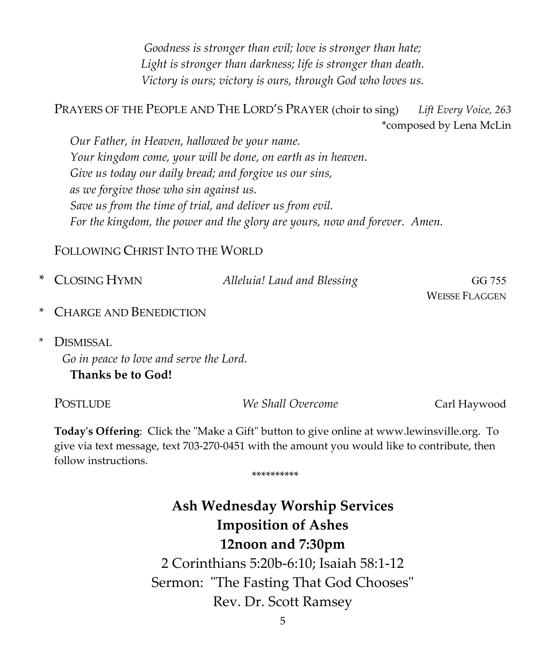*Goodness is stronger than evil; love is stronger than hate; Light is stronger than darkness; life is stronger than death. Victory is ours; victory is ours, through God who loves us.*

PRAYERS OF THE PEOPLE AND THE LORD'S PRAYER (choir to sing) *Lift Every Voice, 263* \*composed by Lena McLin

*Our Father, in Heaven, hallowed be your name. Your kingdom come, your will be done, on earth as in heaven. Give us today our daily bread; and forgive us our sins, as we forgive those who sin against us. Save us from the time of trial, and deliver us from evil. For the kingdom, the power and the glory are yours, now and forever. Amen.*

FOLLOWING CHRIST INTO THE WORLD

| * CLOSING HYMN                                                              | Alleluia! Laud and Blessing | GG 755         |
|-----------------------------------------------------------------------------|-----------------------------|----------------|
|                                                                             |                             | Weisse Flaggen |
| $\lambda$ $C_{\text{II}}$ $\lambda$ $\mu$ $D_{\text{II}}$ $\mu$ $\mu$ $\mu$ |                             |                |

- CHARGE AND BENEDICTION
- *\** DISMISSAL

*Go in peace to love and serve the Lord.* **Thanks be to God!**

| POSTLUDE | We Shall Overcome | Carl Haywood |
|----------|-------------------|--------------|
|----------|-------------------|--------------|

**Today's Offering**: Click the "Make a Gift" button to give online at www.lewinsville.org. To give via text message, text 703-270-0451 with the amount you would like to contribute, then follow instructions.

\*\*\*\*\*\*\*\*\*\*

# **Ash Wednesday Worship Services Imposition of Ashes 12noon and 7:30pm** 2 Corinthians 5:20b-6:10; Isaiah 58:1-12 Sermon: "The Fasting That God Chooses" Rev. Dr. Scott Ramsey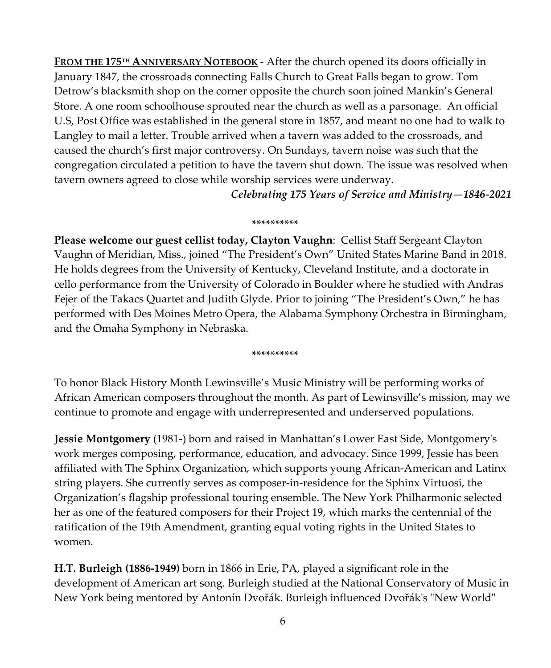**FROM THE 175TH ANNIVERSARY NOTEBOOK** - After the church opened its doors officially in January 1847, the crossroads connecting Falls Church to Great Falls began to grow. Tom Detrow's blacksmith shop on the corner opposite the church soon joined Mankin's General Store. A one room schoolhouse sprouted near the church as well as a parsonage. An official U.S, Post Office was established in the general store in 1857, and meant no one had to walk to Langley to mail a letter. Trouble arrived when a tavern was added to the crossroads, and caused the church's first major controversy. On Sundays, tavern noise was such that the congregation circulated a petition to have the tavern shut down. The issue was resolved when tavern owners agreed to close while worship services were underway.

*Celebrating 175 Years of Service and Ministry—1846-2021*

#### \*\*\*\*\*\*\*\*\*\*

**Please welcome our guest cellist today, Clayton Vaughn**: Cellist Staff Sergeant Clayton Vaughn of Meridian, Miss., joined "The President's Own" United States Marine Band in 2018. He holds degrees from the University of Kentucky, Cleveland Institute, and a doctorate in cello performance from the University of Colorado in Boulder where he studied with Andras Fejer of the Takacs Quartet and Judith Glyde. Prior to joining "The President's Own," he has performed with Des Moines Metro Opera, the Alabama Symphony Orchestra in Birmingham, and the Omaha Symphony in Nebraska.

\*\*\*\*\*\*\*\*\*\*

To honor Black History Month Lewinsville's Music Ministry will be performing works of African American composers throughout the month. As part of Lewinsville's mission, may we continue to promote and engage with underrepresented and underserved populations.

**Jessie Montgomery** (1981-) born and raised in Manhattan's Lower East Side, Montgomery's work merges composing, performance, education, and advocacy. Since 1999, Jessie has been affiliated with The Sphinx Organization, which supports young African-American and Latinx string players. She currently serves as composer-in-residence for the Sphinx Virtuosi, the Organization's flagship professional touring ensemble. The New York Philharmonic selected her as one of the featured composers for their Project 19, which marks the centennial of the ratification of the 19th Amendment, granting equal voting rights in the United States to women.

**H.T. Burleigh (1886-1949)** born in 1866 in Erie, PA, played a significant role in the development of American art song. Burleigh studied at the National Conservatory of Music in New York being mentored by Antonín Dvořák. Burleigh influenced Dvořák's "New World"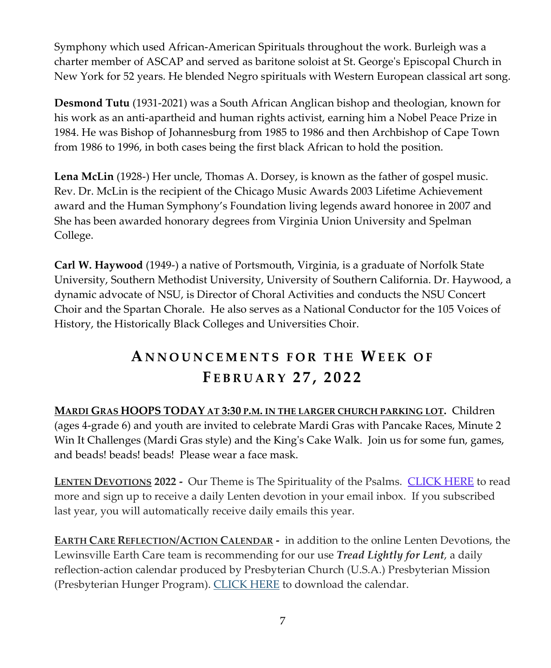Symphony which used African-American Spirituals throughout the work. Burleigh was a charter member of ASCAP and served as baritone soloist at St. George's Episcopal Church in New York for 52 years. He blended Negro spirituals with Western European classical art song.

**Desmond Tutu** (1931-2021) was a South African Anglican bishop and theologian, known for his work as an anti-apartheid and human rights activist, earning him a Nobel Peace Prize in 1984. He was Bishop of Johannesburg from 1985 to 1986 and then Archbishop of Cape Town from 1986 to 1996, in both cases being the first black African to hold the position.

**Lena McLin** (1928-) Her uncle, Thomas A. Dorsey, is known as the father of gospel music. Rev. Dr. McLin is the recipient of the Chicago Music Awards 2003 Lifetime Achievement award and the Human Symphony's Foundation living legends award honoree in 2007 and She has been awarded honorary degrees from Virginia Union University and Spelman College.

**Carl W. Haywood** (1949-) a native of Portsmouth, Virginia, is a graduate of Norfolk State University, Southern Methodist University, University of Southern California. Dr. Haywood, a dynamic advocate of NSU, is Director of Choral Activities and conducts the NSU Concert Choir and the Spartan Chorale. He also serves as a National Conductor for the 105 Voices of History, the Historically Black Colleges and Universities Choir.

# **A N NOU N C E M ENTS FO R THE WEEK O F F EBRUARY 2 7 , 202 2**

**MARDI GRAS HOOPS TODAY AT 3:30 P.M. IN THE LARGER CHURCH PARKING LOT.** Children (ages 4-grade 6) and youth are invited to celebrate Mardi Gras with Pancake Races, Minute 2 Win It Challenges (Mardi Gras style) and the King's Cake Walk. Join us for some fun, games, and beads! beads! beads! Please wear a face mask.

**LENTEN DEVOTIONS 2022 -** Our Theme is The Spirituality of the Psalms. [CLICK HERE](https://www.lewinsville.org/2022-lenten-devotions/) to read more and sign up to receive a daily Lenten devotion in your email inbox. If you subscribed last year, you will automatically receive daily emails this year.

**EARTH CARE REFLECTION/ACTION CALENDAR -** in addition to the online Lenten Devotions, the Lewinsville Earth Care team is recommending for our use *Tread Lightly for Lent*, a daily reflection-action calendar produced by Presbyterian Church (U.S.A.) Presbyterian Mission (Presbyterian Hunger Program). [CLICK HERE](https://www.lewinsville.org/wp-content/uploads/2022/02/Lent-Calendar-2022.pdf) to download the calendar.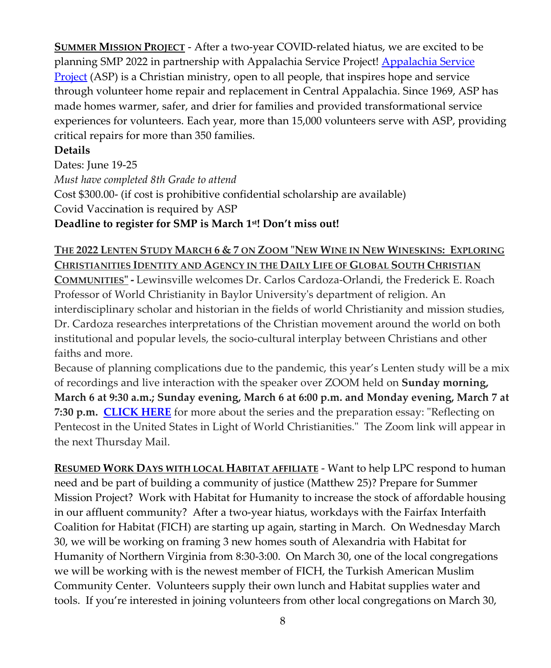**SUMMER MISSION PROJECT** - After a two-year COVID-related hiatus, we are excited to be planning SMP 2022 in partnership with Appalachia Service Project! [Appalachia](https://asphome.org/) Service [Project](https://asphome.org/) (ASP) is a Christian ministry, open to all people, that inspires hope and service through volunteer home repair and replacement in Central Appalachia. Since 1969, ASP has made homes warmer, safer, and drier for families and provided transformational service experiences for volunteers. Each year, more than 15,000 volunteers serve with ASP, providing critical repairs for more than 350 families.

### **Details**

Dates: June 19-25 *Must have completed 8th Grade to attend* Cost \$300.00- (if cost is prohibitive confidential scholarship are available) Covid Vaccination is required by ASP **Deadline to register for SMP is March 1st! Don't miss out!**

### **THE 2022 LENTEN STUDY MARCH 6 & 7 ON ZOOM "NEW WINE IN NEW WINESKINS: EXPLORING CHRISTIANITIES IDENTITY AND AGENCY IN THE DAILY LIFE OF GLOBAL SOUTH CHRISTIAN**

**COMMUNITIES" -** Lewinsville welcomes Dr. Carlos Cardoza-Orlandi, the Frederick E. Roach Professor of World Christianity in Baylor University's department of religion. An interdisciplinary scholar and historian in the fields of world Christianity and mission studies, Dr. Cardoza researches interpretations of the Christian movement around the world on both institutional and popular levels, the socio-cultural interplay between Christians and other faiths and more.

Because of planning complications due to the pandemic, this year's Lenten study will be a mix of recordings and live interaction with the speaker over ZOOM held on **Sunday morning, March 6 at 9:30 a.m.; Sunday evening, March 6 at 6:00 p.m. and Monday evening, March 7 at 7:30 p.m. [CLICK HERE](https://www.lewinsville.org/wp-content/uploads/2022/02/LentenStudies-JournalforPreachersPentecost2012.pdf)** for more about the series and the preparation essay: "Reflecting on Pentecost in the United States in Light of World Christianities." The Zoom link will appear in the next Thursday Mail.

**RESUMED WORK DAYS WITH LOCAL HABITAT AFFILIATE** - Want to help LPC respond to human need and be part of building a community of justice (Matthew 25)? Prepare for Summer Mission Project? Work with Habitat for Humanity to increase the stock of affordable housing in our affluent community? After a two-year hiatus, workdays with the Fairfax Interfaith Coalition for Habitat (FICH) are starting up again, starting in March. On Wednesday March 30, we will be working on framing 3 new homes south of Alexandria with Habitat for Humanity of Northern Virginia from 8:30-3:00. On March 30, one of the local congregations we will be working with is the newest member of FICH, the Turkish American Muslim Community Center. Volunteers supply their own lunch and Habitat supplies water and tools. If you're interested in joining volunteers from other local congregations on March 30,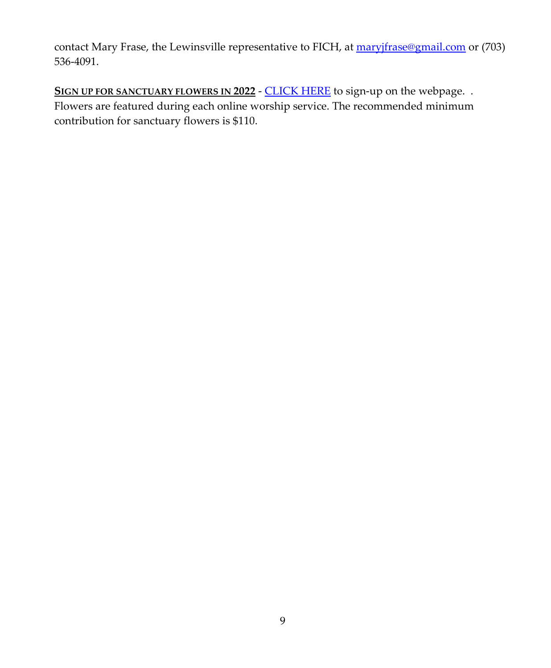contact Mary Frase, the Lewinsville representative to FICH, at [maryjfrase@gmail.com](mailto:maryjfrase@gmail.com) or (703) 536-4091.

SIGN UP FOR SANCTUARY FLOWERS IN 2022 - [CLICK](https://www.lewinsville.org/sign-up-2022-flowers/) HERE to sign-up on the webpage. . Flowers are featured during each online worship service. The recommended minimum contribution for sanctuary flowers is \$110.